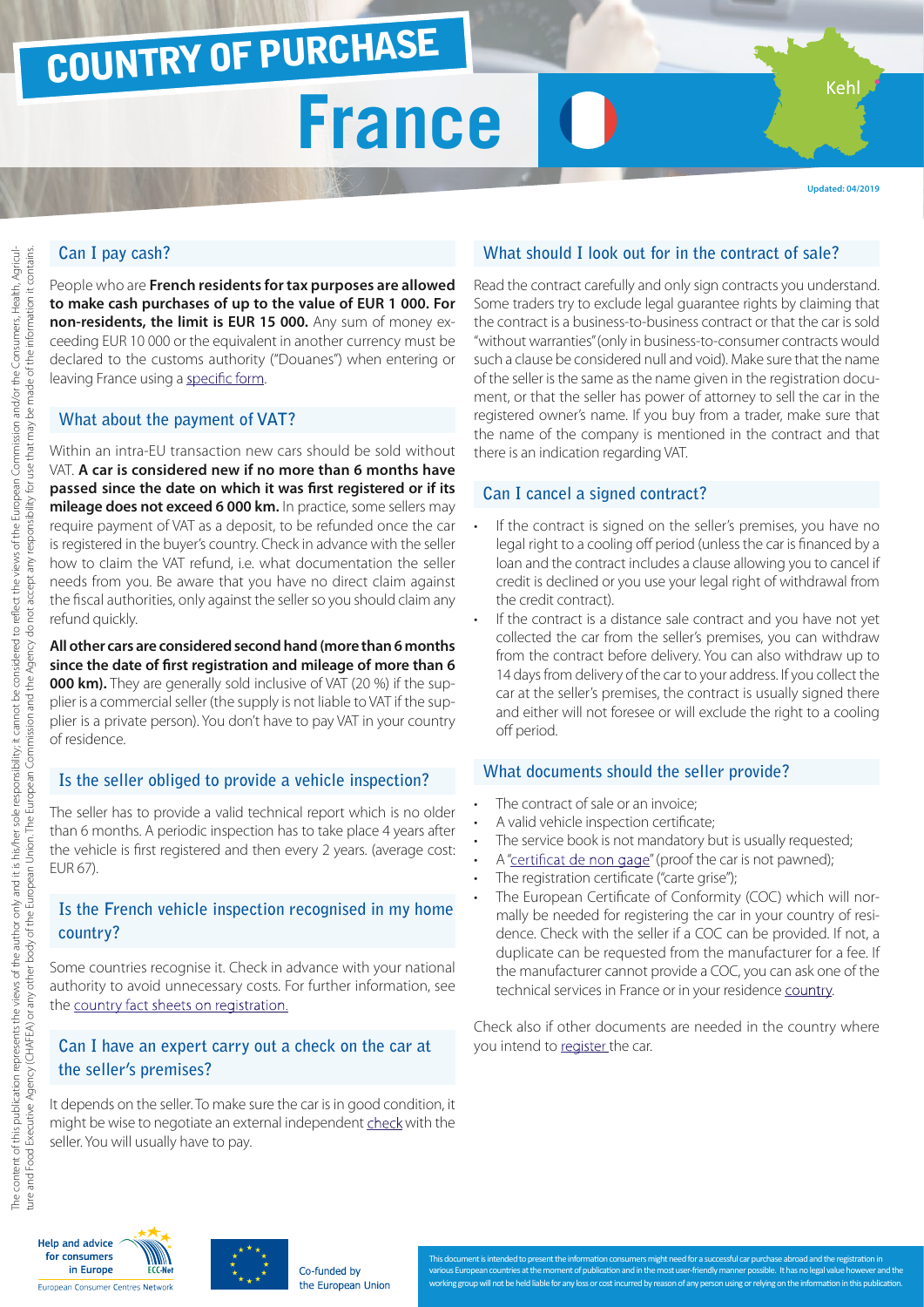## COUNTRY OF PURCHASE

## **France**

**Updated: 04/2019**

Keh

### **Can I pay cash?**

People who are **French residents for tax purposes are allowed to make cash purchases of up to the value of EUR 1 000. For non-residents, the limit is EUR 15 000.** Any sum of money exceeding EUR 10 000 or the equivalent in another currency must be declared to the customs authority ("Douanes") when entering or leaving France using a [specific form](http://vosdroits.service-public.fr/particuliers/R17890.xhtml ).

#### **What about the payment of VAT?**

Within an intra-EU transaction new cars should be sold without VAT. **A car is considered new if no more than 6 months have passed since the date on which it was first registered or if its mileage does not exceed 6 000 km.** In practice, some sellers may require payment of VAT as a deposit, to be refunded once the car is registered in the buyer's country. Check in advance with the seller how to claim the VAT refund, i.e. what documentation the seller needs from you. Be aware that you have no direct claim against the fiscal authorities, only against the seller so you should claim any refund quickly.

#### **All other cars are considered second hand (more than 6 months since the date of first registration and mileage of more than 6 000 km).** They are generally sold inclusive of VAT (20 %) if the supplier is a commercial seller (the supply is not liable to VAT if the supplier is a private person). You don't have to pay VAT in your country of residence.

#### **Is the seller obliged to provide a vehicle inspection?**

The seller has to provide a valid technical report which is no older than 6 months. A periodic inspection has to take place 4 years after the vehicle is first registered and then every 2 years. (average cost: EUR 67).

#### **Is the French vehicle inspection recognised in my home country?**

Some countries recognise it. Check in advance with your national authority to avoid unnecessary costs. For further information, see the [country fact sheets on registration.](http://www.europe-consommateurs.eu/en/consumer-topics/on-the-road/buying-a-car/cross-border-car-purchase-and-registration/)

#### **Can I have an expert carry out a check on the car at the seller's premises?**

It depends on the seller. To make sure the car is in good condition, it might be wise to negotiate an external independent [check](http://www.securite-routiere.gouv.fr/connaitre-les-regles/le-vehicule/la-liste-nationale-des-experts-automobile ) with the seller. You will usually have to pay.

#### **What should I look out for in the contract of sale?**

Read the contract carefully and only sign contracts you understand. Some traders try to exclude legal guarantee rights by claiming that the contract is a business-to-business contract or that the car is sold "without warranties" (only in business-to-consumer contracts would such a clause be considered null and void). Make sure that the name of the seller is the same as the name given in the registration document, or that the seller has power of attorney to sell the car in the registered owner's name. If you buy from a trader, make sure that the name of the company is mentioned in the contract and that there is an indication regarding VAT.

#### **Can I cancel a signed contract?**

- If the contract is signed on the seller's premises, you have no legal right to a cooling off period (unless the car is financed by a loan and the contract includes a clause allowing you to cancel if credit is declined or you use your legal right of withdrawal from the credit contract).
- If the contract is a distance sale contract and you have not yet collected the car from the seller's premises, you can withdraw from the contract before delivery. You can also withdraw up to 14 days from delivery of the car to your address. If you collect the car at the seller's premises, the contract is usually signed there and either will not foresee or will exclude the right to a cooling off period.

#### **What documents should the seller provide?**

- The contract of sale or an invoice:
- A valid vehicle inspection certificate;
- The service book is not mandatory but is usually requested;
- A ["certificat de non gage"](https://siv.interieur.gouv.fr/map-usg-ui/do/accueil_certificat) (proof the car is not pawned);
- The registration certificate ("carte grise");
- The European Certificate of Conformity (COC) which will normally be needed for registering the car in your country of residence. Check with the seller if a COC can be provided. If not, a duplicate can be requested from the manufacturer for a fee. If the manufacturer cannot provide a COC, you can ask one of the technical services in France or in your residence [country](http://www.europe-consommateurs.eu/en/consumer-topics/on-the-road/buying-a-car/cross-border-car-purchase-and-registration/).

Check also if other documents are needed in the country where you intend to [register](http://www.europe-consommateurs.eu/en/consumer-topics/on-the-road/buying-a-car/cross-border-car-purchase-and-registration/) the car.





This document is intended to present the information consumers might need for a successful car purchase abroad and the registration in nt of publication and in the most user-fr working group will not be held liable for any loss or cost incurred by reason of any person using or relying on the information in this publication.